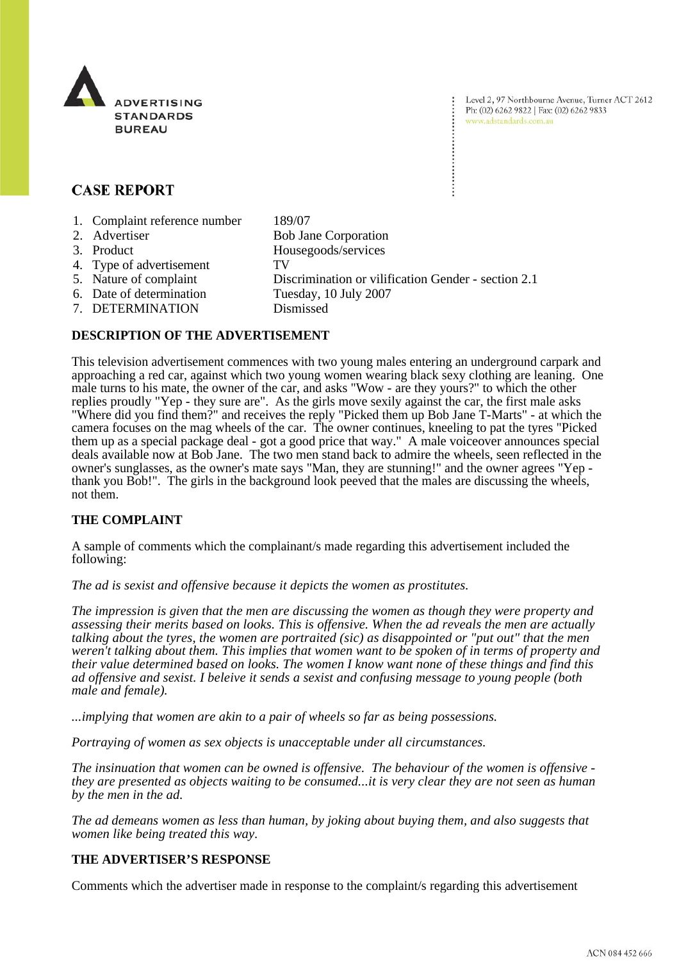

Level 2, 97 Northbourne Avenue, Turner ACT 2612 Ph: (02) 6262 9822 | Fax: (02) 6262 9833 www.adstandards.com.au

# **CASE REPORT**

- 1. Complaint reference number 189/07
- 2. Advertiser Bob Jane Corporation 3. Product Housegoods/services 4. Type of advertisement TV 5. Nature of complaint Discrimination or vilification Gender - section 2.1 6. Date of determination Tuesday, 10 July 2007 7. DETERMINATION Dismissed

#### **DESCRIPTION OF THE ADVERTISEMENT**

This television advertisement commences with two young males entering an underground carpark and approaching a red car, against which two young women wearing black sexy clothing are leaning. One male turns to his mate, the owner of the car, and asks "Wow - are they yours?" to which the other replies proudly "Yep - they sure are". As the girls move sexily against the car, the first male asks "Where did you find them?" and receives the reply "Picked them up Bob Jane T-Marts" - at which the camera focuses on the mag wheels of the car. The owner continues, kneeling to pat the tyres "Picked them up as a special package deal - got a good price that way." A male voiceover announces special deals available now at Bob Jane. The two men stand back to admire the wheels, seen reflected in the owner's sunglasses, as the owner's mate says "Man, they are stunning!" and the owner agrees "Yep thank you Bob!". The girls in the background look peeved that the males are discussing the wheels, not them.

## **THE COMPLAINT**

A sample of comments which the complainant/s made regarding this advertisement included the following:

*The ad is sexist and offensive because it depicts the women as prostitutes.*

*The impression is given that the men are discussing the women as though they were property and assessing their merits based on looks. This is offensive. When the ad reveals the men are actually talking about the tyres, the women are portraited (sic) as disappointed or "put out" that the men weren't talking about them. This implies that women want to be spoken of in terms of property and their value determined based on looks. The women I know want none of these things and find this ad offensive and sexist. I beleive it sends a sexist and confusing message to young people (both male and female).*

*...implying that women are akin to a pair of wheels so far as being possessions.*

*Portraying of women as sex objects is unacceptable under all circumstances.*

*The insinuation that women can be owned is offensive. The behaviour of the women is offensive they are presented as objects waiting to be consumed...it is very clear they are not seen as human by the men in the ad.*

*The ad demeans women as less than human, by joking about buying them, and also suggests that women like being treated this way.*

#### **THE ADVERTISER'S RESPONSE**

Comments which the advertiser made in response to the complaint/s regarding this advertisement